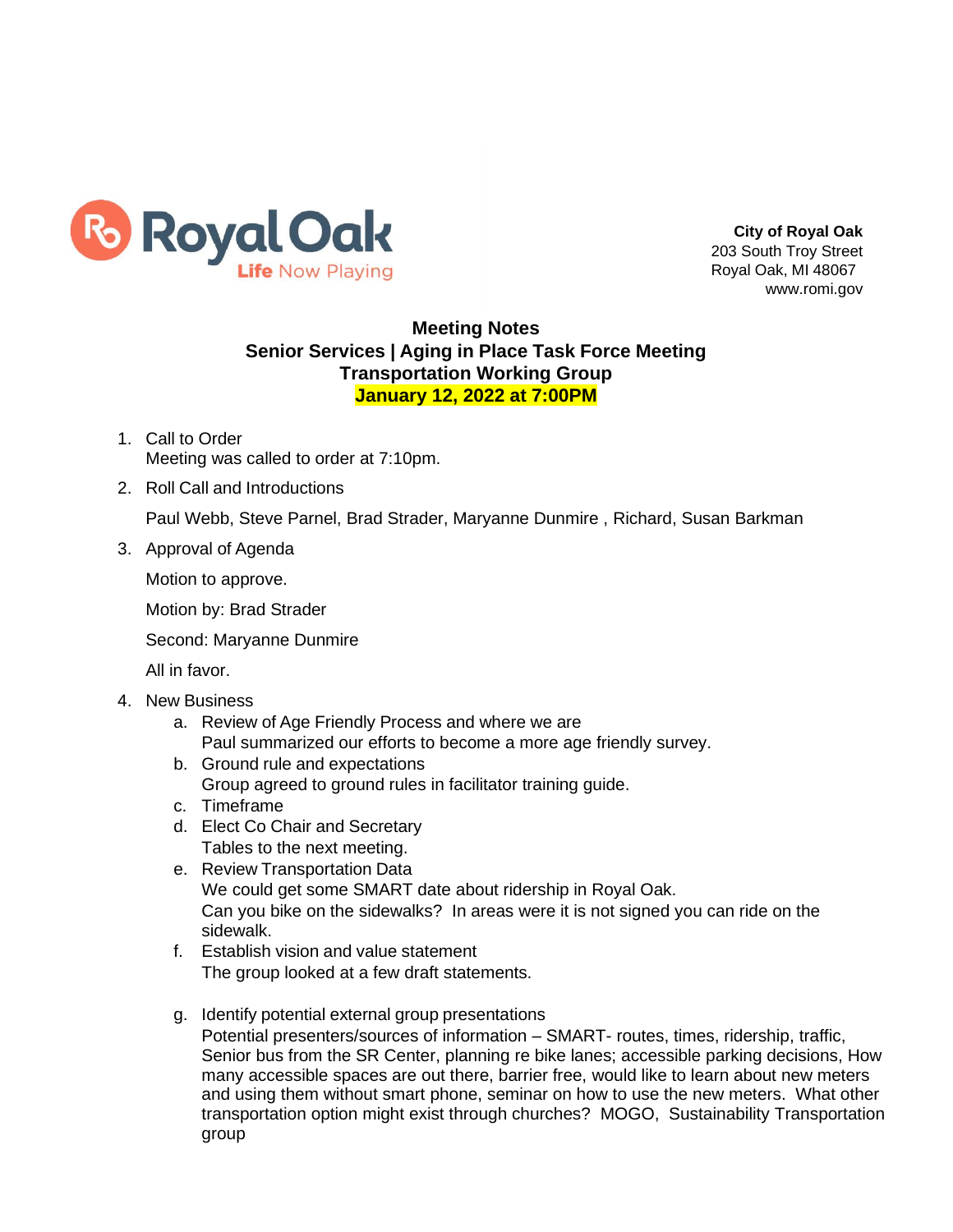

**City of Royal Oak** 203 South Troy Street Royal Oak, MI 48067 [www.romi.gov](http://www.romi.gov/)

## **Meeting Notes Senior Services | Aging in Place Task Force Meeting Transportation Working Group January 12, 2022 at 7:00PM**

- 1. Call to Order Meeting was called to order at 7:10pm.
- 2. Roll Call and Introductions

Paul Webb, Steve Parnel, Brad Strader, Maryanne Dunmire , Richard, Susan Barkman

3. Approval of Agenda

Motion to approve.

Motion by: Brad Strader

Second: Maryanne Dunmire

All in favor.

- 4. New Business
	- a. Review of Age Friendly Process and where we are Paul summarized our efforts to become a more age friendly survey.
	- b. Ground rule and expectations Group agreed to ground rules in facilitator training guide.
	- c. Timeframe
	- d. Elect Co Chair and Secretary Tables to the next meeting.
	- e. Review Transportation Data We could get some SMART date about ridership in Royal Oak. Can you bike on the sidewalks? In areas were it is not signed you can ride on the sidewalk.
	- f. Establish vision and value statement The group looked at a few draft statements.
	- g. Identify potential external group presentations Potential presenters/sources of information – SMART- routes, times, ridership, traffic, Senior bus from the SR Center, planning re bike lanes; accessible parking decisions, How many accessible spaces are out there, barrier free, would like to learn about new meters and using them without smart phone, seminar on how to use the new meters. What other transportation option might exist through churches? MOGO, Sustainability Transportation group